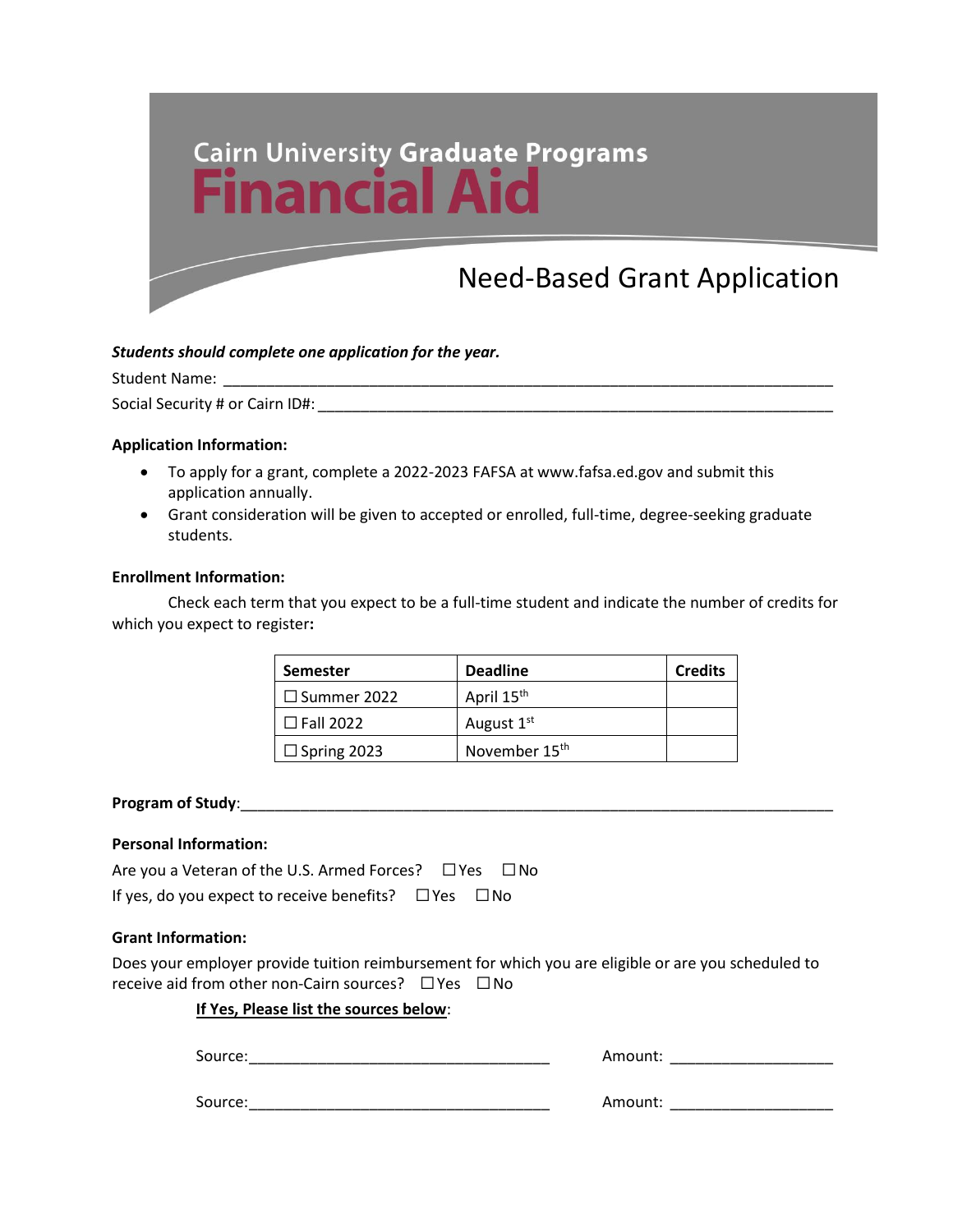

## *Students should complete one application for the year.*

Student Name: \_\_\_\_\_\_\_\_\_\_\_\_\_\_\_\_\_\_\_\_\_\_\_\_\_\_\_\_\_\_\_\_\_\_\_\_\_\_\_\_\_\_\_\_\_\_\_\_\_\_\_\_\_\_\_\_\_\_\_\_\_\_\_\_\_\_\_\_\_\_\_

Social Security # or Cairn ID#: \_\_\_\_\_\_\_\_\_\_\_\_\_\_\_\_\_\_\_\_\_\_\_\_\_\_\_\_\_\_\_\_\_\_\_\_\_\_\_\_\_\_\_\_\_\_\_\_\_\_\_\_\_\_\_\_\_\_\_\_

## **Application Information:**

- To apply for a grant, complete a 2022-2023 FAFSA at www.fafsa.ed.gov and submit this application annually.
- Grant consideration will be given to accepted or enrolled, full-time, degree-seeking graduate students.

## **Enrollment Information:**

Check each term that you expect to be a full-time student and indicate the number of credits for which you expect to register**:**

| <b>Semester</b>    | <b>Deadline</b>           | <b>Credits</b> |
|--------------------|---------------------------|----------------|
| $\Box$ Summer 2022 | April 15 <sup>th</sup>    |                |
| $\Box$ Fall 2022   | August 1 <sup>st</sup>    |                |
| $\Box$ Spring 2023 | November 15 <sup>th</sup> |                |

#### **Program of Study: Program of Study**:

## **Personal Information:**

| Are you a Veteran of the U.S. Armed Forces? $\Box$ Yes $\Box$ No |  |  |
|------------------------------------------------------------------|--|--|
| If yes, do you expect to receive benefits? $\Box$ Yes $\Box$ No  |  |  |

## **Grant Information:**

Does your employer provide tuition reimbursement for which you are eligible or are you scheduled to receive aid from other non-Cairn sources? □Yes □No

## **If Yes, Please list the sources below**:

Source:\_\_\_\_\_\_\_\_\_\_\_\_\_\_\_\_\_\_\_\_\_\_\_\_\_\_\_\_\_\_\_\_\_\_\_ Amount: \_\_\_\_\_\_\_\_\_\_\_\_\_\_\_\_\_\_\_

| Amount: |  |
|---------|--|
|---------|--|

Source:\_\_\_\_\_\_\_\_\_\_\_\_\_\_\_\_\_\_\_\_\_\_\_\_\_\_\_\_\_\_\_\_\_\_\_ Amount: \_\_\_\_\_\_\_\_\_\_\_\_\_\_\_\_\_\_\_